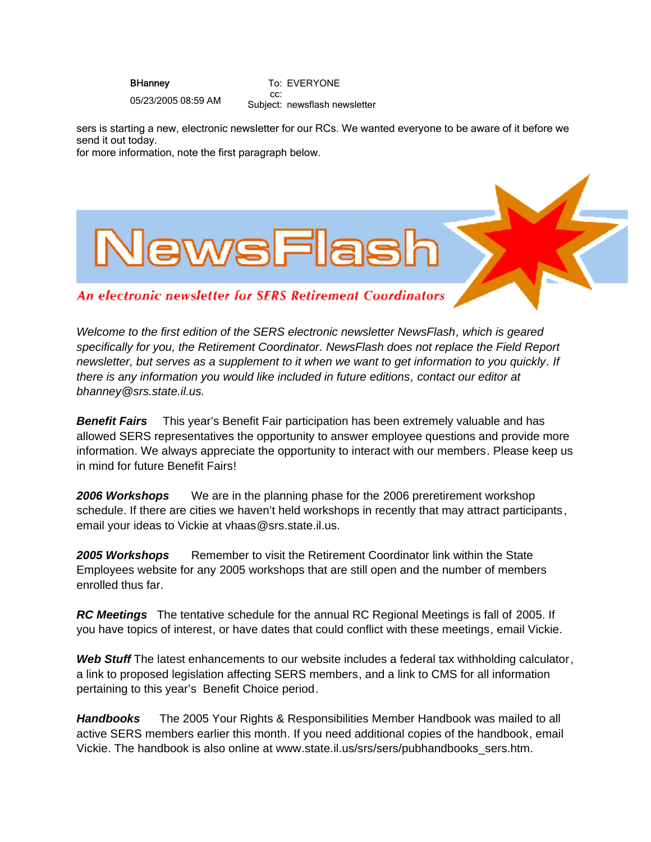**BHanney** 

To: EVERYONE cc:

05/23/2005 08:59 AM

Subject: newsflash newsletter

sers is starting a new, electronic newsletter for our RCs. We wanted everyone to be aware of it before we send it out today.

for more information, note the first paragraph below.



An electronic newsletter for SERS Retirement Coordinators

*Welcome to the first edition of the SERS electronic newsletter NewsFlash, which is geared specifically for you, the Retirement Coordinator. NewsFlash does not replace the Field Report newsletter, but serves as a supplement to it when we want to get information to you quickly. If there is any information you would like included in future editions, contact our editor at bhanney@srs.state.il.us.*

*Benefit Fairs* This year's Benefit Fair participation has been extremely valuable and has allowed SERS representatives the opportunity to answer employee questions and provide more information. We always appreciate the opportunity to interact with our members. Please keep us in mind for future Benefit Fairs!

*2006 Workshops* We are in the planning phase for the 2006 preretirement workshop schedule. If there are cities we haven't held workshops in recently that may attract participants, email your ideas to Vickie at vhaas@srs.state.il.us.

*2005 Workshops* Remember to visit the Retirement Coordinator link within the State Employees website for any 2005 workshops that are still open and the number of members enrolled thus far.

*RC Meetings* The tentative schedule for the annual RC Regional Meetings is fall of 2005. If you have topics of interest, or have dates that could conflict with these meetings, email Vickie.

*Web Stuff* The latest enhancements to our website includes a federal tax withholding calculator, a link to proposed legislation affecting SERS members, and a link to CMS for all information pertaining to this year's Benefit Choice period.

*Handbooks* The 2005 Your Rights & Responsibilities Member Handbook was mailed to all active SERS members earlier this month. If you need additional copies of the handbook, email Vickie. The handbook is also online at www.state.il.us/srs/sers/pubhandbooks\_sers.htm.